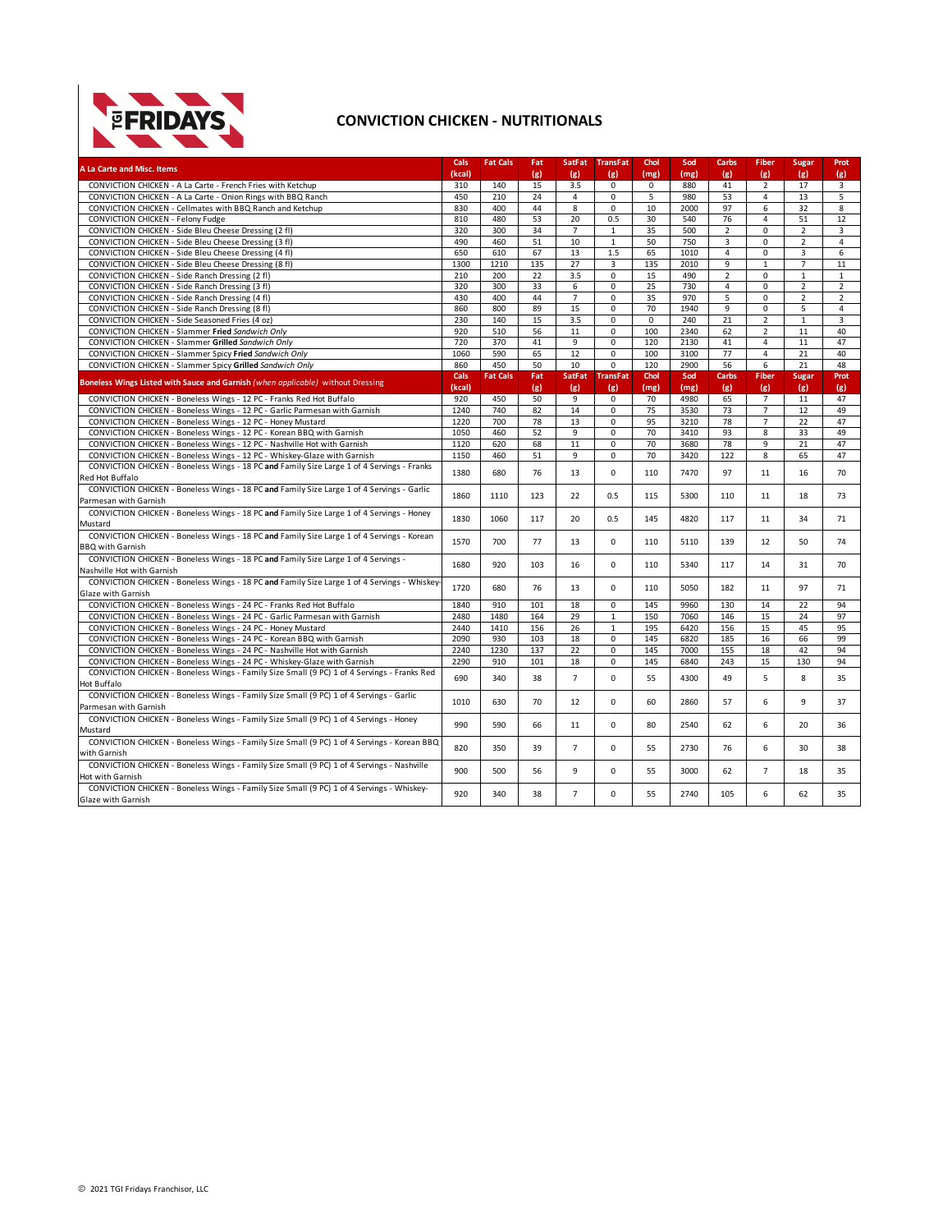

## **CONVICTION CHICKEN - NUTRITIONALS**

| 15<br>3.5<br>41<br>CONVICTION CHICKEN - A La Carte - French Fries with Ketchup<br>310<br>140<br>0<br>$\Omega$<br>880<br>$\overline{2}$<br>17<br>3<br>210<br>24<br>$\overline{4}$<br>0<br>5<br>980<br>53<br>$\overline{4}$<br>13<br>5<br>CONVICTION CHICKEN - A La Carte - Onion Rings with BBQ Ranch<br>450<br>CONVICTION CHICKEN - Cellmates with BBQ Ranch and Ketchup<br>44<br>2000<br>97<br>830<br>400<br>8<br>$\mathbf 0$<br>10<br>6<br>32<br>8<br>53<br>20<br>0.5<br>76<br>CONVICTION CHICKEN - Felony Fudge<br>810<br>480<br>30<br>540<br>$\overline{4}$<br>51<br>12<br>$\overline{7}$<br>$\overline{2}$<br>CONVICTION CHICKEN - Side Bleu Cheese Dressing (2 fl)<br>320<br>300<br>34<br>$\mathbf{1}$<br>35<br>500<br>0<br>$\overline{2}$<br>3<br>50<br>CONVICTION CHICKEN - Side Bleu Cheese Dressing (3 fl)<br>490<br>51<br>10<br>$\mathbf{1}$<br>750<br>3<br>$\overline{2}$<br>$\overline{4}$<br>460<br>$\mathbf 0$<br>67<br>13<br>65<br>1010<br>6<br>CONVICTION CHICKEN - Side Bleu Cheese Dressing (4 fl)<br>650<br>610<br>1.5<br>$\overline{4}$<br>0<br>3<br>135<br>27<br>CONVICTION CHICKEN - Side Bleu Cheese Dressing (8 fl)<br>1300<br>1210<br>135<br>2010<br>9<br>3<br>$\mathbf{1}$<br>$\overline{7}$<br>11<br>$\overline{0}$<br>490<br>$\overline{2}$<br>CONVICTION CHICKEN - Side Ranch Dressing (2 fl)<br>210<br>200<br>22<br>3.5<br>15<br>0<br>$\mathbf{1}$<br>$\mathbf{1}$<br>CONVICTION CHICKEN - Side Ranch Dressing (3 fl)<br>320<br>300<br>33<br>0<br>25<br>730<br>4<br>$\overline{2}$<br>6<br>0<br>$\overline{2}$<br>CONVICTION CHICKEN - Side Ranch Dressing (4 fl)<br>400<br>44<br>$\overline{7}$<br>$\mathbf 0$<br>35<br>970<br>5<br>$\mathbf 0$<br>$\overline{2}$<br>$\overline{2}$<br>430<br>15<br>70<br>9<br>CONVICTION CHICKEN - Side Ranch Dressing (8 fl)<br>860<br>800<br>89<br>0<br>1940<br>$\mathbf 0$<br>5<br>4<br>21<br>CONVICTION CHICKEN - Side Seasoned Fries (4 oz)<br>230<br>140<br>15<br>3.5<br>0<br>$\mathbf 0$<br>240<br>$\overline{2}$<br>$\mathbf{1}$<br>3<br>920<br>510<br>56<br>$\overline{0}$<br>100<br>2340<br>62<br>CONVICTION CHICKEN - Slammer Fried Sandwich Only<br>11<br>$\overline{2}$<br>11<br>40<br>CONVICTION CHICKEN - Slammer Grilled Sandwich Only<br>720<br>370<br>41<br>9<br>0<br>120<br>2130<br>41<br>$\overline{4}$<br>11<br>47<br>590<br>65<br>12<br>$\mathbf 0$<br>3100<br>77<br>$\overline{4}$<br>21<br>40<br>CONVICTION CHICKEN - Slammer Spicy Fried Sandwich Only<br>1060<br>100<br>CONVICTION CHICKEN - Slammer Spicy Grilled Sandwich Only<br>860<br>450<br>50<br>10<br>$\mathbf 0$<br>120<br>2900<br>56<br>6<br>21<br>48<br>Cals<br><b>Fat Cals</b><br>Fat<br><b>SatFat</b><br><b>TransFat</b><br>Chol<br>Sod<br>Carbs<br>Fiber<br><b>Sugar</b><br>Prot<br>Boneless Wings Listed with Sauce and Garnish (when applicable) without Dressing<br>(kcal)<br>(g)<br>(mg)<br>(g)<br>(g)<br>(g)<br>(mg)<br>(g)<br>(g)<br>(g)<br>CONVICTION CHICKEN - Boneless Wings - 12 PC - Franks Red Hot Buffalo<br>920<br>450<br>50<br>9<br>$\mathbf 0$<br>70<br>4980<br>65<br>$\overline{7}$<br>11<br>47<br>CONVICTION CHICKEN - Boneless Wings - 12 PC - Garlic Parmesan with Garnish<br>740<br>82<br>14<br>0<br>75<br>73<br>$\overline{7}$<br>49<br>1240<br>3530<br>12<br>13<br>78<br>CONVICTION CHICKEN - Boneless Wings - 12 PC - Honey Mustard<br>1220<br>700<br>78<br>0<br>95<br>3210<br>$\overline{7}$<br>22<br>47<br>52<br>70<br>93<br>CONVICTION CHICKEN - Boneless Wings - 12 PC - Korean BBQ with Garnish<br>1050<br>9<br>$\mathbf 0$<br>3410<br>8<br>33<br>49<br>460<br>CONVICTION CHICKEN - Boneless Wings - 12 PC - Nashville Hot with Garnish<br>620<br>68<br>11<br>$\mathbf 0$<br>70<br>3680<br>78<br>9<br>21<br>47<br>1120<br>51<br>70<br>122<br>CONVICTION CHICKEN - Boneless Wings - 12 PC - Whiskey-Glaze with Garnish<br>1150<br>460<br>9<br>0<br>3420<br>8<br>65<br>47<br>CONVICTION CHICKEN - Boneless Wings - 18 PC and Family Size Large 1 of 4 Servings - Franks<br>1380<br>680<br>76<br>0<br>7470<br>97<br>13<br>110<br>11<br>16<br>70<br>Red Hot Buffalo<br>CONVICTION CHICKEN - Boneless Wings - 18 PC and Family Size Large 1 of 4 Servings - Garlic<br>123<br>1860<br>1110<br>22<br>0.5<br>115<br>5300<br>110<br>11<br>73<br>18<br>Parmesan with Garnish<br>CONVICTION CHICKEN - Boneless Wings - 18 PC and Family Size Large 1 of 4 Servings - Honey<br>1830<br>1060<br>117<br>20<br>0.5<br>4820<br>117<br>145<br>11<br>34<br>71<br>Mustard<br>CONVICTION CHICKEN - Boneless Wings - 18 PC and Family Size Large 1 of 4 Servings - Korean<br>1570<br>700<br>77<br>0<br>139<br>50<br>13<br>110<br>5110<br>12<br>74<br><b>BBO</b> with Garnish<br>CONVICTION CHICKEN - Boneless Wings - 18 PC and Family Size Large 1 of 4 Servings -<br>1680<br>920<br>103<br>$\Omega$<br>5340<br>117<br>16<br>110<br>14<br>31<br>70<br>Nashville Hot with Garnish<br>CONVICTION CHICKEN - Boneless Wings - 18 PC and Family Size Large 1 of 4 Servings - Whiskey-<br>1720<br>680<br>76<br>13<br>$\Omega$<br>110<br>5050<br>182<br>11<br>97<br>71<br>Glaze with Garnish<br>CONVICTION CHICKEN - Boneless Wings - 24 PC - Franks Red Hot Buffalo<br>1840<br>910<br>101<br>18<br>0<br>145<br>9960<br>130<br>14<br>22<br>94<br>CONVICTION CHICKEN - Boneless Wings - 24 PC - Garlic Parmesan with Garnish<br>2480<br>29<br>150<br>7060<br>15<br>1480<br>164<br>$\mathbf{1}$<br>146<br>24<br>97<br>CONVICTION CHICKEN - Boneless Wings - 24 PC - Honey Mustard<br>2440<br>1410<br>156<br>26<br>195<br>6420<br>156<br>15<br>45<br>95<br>$\mathbf{1}$<br>0<br>CONVICTION CHICKEN - Boneless Wings - 24 PC - Korean BBQ with Garnish<br>2090<br>930<br>103<br>18<br>145<br>6820<br>185<br>16<br>66<br>99<br>CONVICTION CHICKEN - Boneless Wings - 24 PC - Nashville Hot with Garnish<br>2240<br>1230<br>137<br>22<br>0<br>145<br>7000<br>155<br>18<br>42<br>94<br>CONVICTION CHICKEN - Boneless Wings - 24 PC - Whiskey-Glaze with Garnish<br>2290<br>910<br>101<br>18<br>0<br>145<br>6840<br>243<br>15<br>130<br>94<br>CONVICTION CHICKEN - Boneless Wings - Family Size Small (9 PC) 1 of 4 Servings - Franks Red<br>$\overline{7}$<br>340<br>38<br>$\mathbf 0$<br>55<br>49<br>5<br>8<br>690<br>4300<br>35<br>Hot Buffalo<br>CONVICTION CHICKEN - Boneless Wings - Family Size Small (9 PC) 1 of 4 Servings - Garlic<br>1010<br>630<br>70<br>12<br>0<br>60<br>57<br>6<br>9<br>37<br>2860<br>Parmesan with Garnish<br>CONVICTION CHICKEN - Boneless Wings - Family Size Small (9 PC) 1 of 4 Servings - Honey<br>990<br>66<br>$\Omega$<br>62<br>6<br>590<br>11<br>80<br>2540<br>20<br>36<br>Mustard<br>CONVICTION CHICKEN - Boneless Wings - Family Size Small (9 PC) 1 of 4 Servings - Korean BBQ<br>$\overline{7}$<br>820<br>350<br>39<br>0<br>55<br>2730<br>76<br>6<br>30<br>38<br>with Garnish<br>CONVICTION CHICKEN - Boneless Wings - Family Size Small (9 PC) 1 of 4 Servings - Nashville<br>$\overline{7}$<br>900<br>500<br>56<br>9<br>$\mathbf 0$<br>55<br>3000<br>62<br>18<br>35<br>Hot with Garnish<br>CONVICTION CHICKEN - Boneless Wings - Family Size Small (9 PC) 1 of 4 Servings - Whiskey-<br>$\overline{7}$<br>$\mathbf 0$<br>920<br>340<br>38<br>55<br>2740<br>105<br>6<br>62<br>35 | A La Carte and Misc. Items | Cals   | <b>Fat Cals</b> | Fat | <b>SatFat</b> | <b>TransFat</b> | Chol | Sod  | Carbs | Fiber | <b>Sugar</b> | Prot |
|---------------------------------------------------------------------------------------------------------------------------------------------------------------------------------------------------------------------------------------------------------------------------------------------------------------------------------------------------------------------------------------------------------------------------------------------------------------------------------------------------------------------------------------------------------------------------------------------------------------------------------------------------------------------------------------------------------------------------------------------------------------------------------------------------------------------------------------------------------------------------------------------------------------------------------------------------------------------------------------------------------------------------------------------------------------------------------------------------------------------------------------------------------------------------------------------------------------------------------------------------------------------------------------------------------------------------------------------------------------------------------------------------------------------------------------------------------------------------------------------------------------------------------------------------------------------------------------------------------------------------------------------------------------------------------------------------------------------------------------------------------------------------------------------------------------------------------------------------------------------------------------------------------------------------------------------------------------------------------------------------------------------------------------------------------------------------------------------------------------------------------------------------------------------------------------------------------------------------------------------------------------------------------------------------------------------------------------------------------------------------------------------------------------------------------------------------------------------------------------------------------------------------------------------------------------------------------------------------------------------------------------------------------------------------------------------------------------------------------------------------------------------------------------------------------------------------------------------------------------------------------------------------------------------------------------------------------------------------------------------------------------------------------------------------------------------------------------------------------------------------------------------------------------------------------------------------------------------------------------------------------------------------------------------------------------------------------------------------------------------------------------------------------------------------------------------------------------------------------------------------------------------------------------------------------------------------------------------------------------------------------------------------------------------------------------------------------------------------------------------------------------------------------------------------------------------------------------------------------------------------------------------------------------------------------------------------------------------------------------------------------------------------------------------------------------------------------------------------------------------------------------------------------------------------------------------------------------------------------------------------------------------------------------------------------------------------------------------------------------------------------------------------------------------------------------------------------------------------------------------------------------------------------------------------------------------------------------------------------------------------------------------------------------------------------------------------------------------------------------------------------------------------------------------------------------------------------------------------------------------------------------------------------------------------------------------------------------------------------------------------------------------------------------------------------------------------------------------------------------------------------------------------------------------------------------------------------------------------------------------------------------------------------------------------------------------------------------------------------------------------------------------------------------------------------------------------------------------------------------------------------------------------------------------------------------------------------------------------------------------------------------------------------------------------------------------------------------------------------------------------------------------------------------------------------------------------------------------------------------------------------------------------------------------------------------------------------------------------------------------------------------------------------------------------------------------------------------------------------------------------------------------------------------------------------------------------------------------------------------------------------------------------------------------------------------------------------------------------------------------------------------------------------------------------------------------------------------------------------------------------------------------------------------------------------------------------------------------------------------------------------------------------------------------------------------------------------------------------------------------------------------------------------------------------------------------------------------------------------------------------------------------------------------------------------------------------------------------------------------------------------------------------------------------------------------------------------------------------------------------------------------------------------------------------------|----------------------------|--------|-----------------|-----|---------------|-----------------|------|------|-------|-------|--------------|------|
|                                                                                                                                                                                                                                                                                                                                                                                                                                                                                                                                                                                                                                                                                                                                                                                                                                                                                                                                                                                                                                                                                                                                                                                                                                                                                                                                                                                                                                                                                                                                                                                                                                                                                                                                                                                                                                                                                                                                                                                                                                                                                                                                                                                                                                                                                                                                                                                                                                                                                                                                                                                                                                                                                                                                                                                                                                                                                                                                                                                                                                                                                                                                                                                                                                                                                                                                                                                                                                                                                                                                                                                                                                                                                                                                                                                                                                                                                                                                                                                                                                                                                                                                                                                                                                                                                                                                                                                                                                                                                                                                                                                                                                                                                                                                                                                                                                                                                                                                                                                                                                                                                                                                                                                                                                                                                                                                                                                                                                                                                                                                                                                                                                                                                                                                                                                                                                                                                                                                                                                                                                                                                                                                                                                                                                                                                                                                                                                                                                                                                                                                                                                                                                                                                                                                                                                                                                                                                                                                                                                                                                                                                                                                                                                 |                            | (kcal) |                 | (g) | (g)           | (g)             | (mg) | (mg) | (g)   | (g)   | (g)          | (g)  |
|                                                                                                                                                                                                                                                                                                                                                                                                                                                                                                                                                                                                                                                                                                                                                                                                                                                                                                                                                                                                                                                                                                                                                                                                                                                                                                                                                                                                                                                                                                                                                                                                                                                                                                                                                                                                                                                                                                                                                                                                                                                                                                                                                                                                                                                                                                                                                                                                                                                                                                                                                                                                                                                                                                                                                                                                                                                                                                                                                                                                                                                                                                                                                                                                                                                                                                                                                                                                                                                                                                                                                                                                                                                                                                                                                                                                                                                                                                                                                                                                                                                                                                                                                                                                                                                                                                                                                                                                                                                                                                                                                                                                                                                                                                                                                                                                                                                                                                                                                                                                                                                                                                                                                                                                                                                                                                                                                                                                                                                                                                                                                                                                                                                                                                                                                                                                                                                                                                                                                                                                                                                                                                                                                                                                                                                                                                                                                                                                                                                                                                                                                                                                                                                                                                                                                                                                                                                                                                                                                                                                                                                                                                                                                                                 |                            |        |                 |     |               |                 |      |      |       |       |              |      |
|                                                                                                                                                                                                                                                                                                                                                                                                                                                                                                                                                                                                                                                                                                                                                                                                                                                                                                                                                                                                                                                                                                                                                                                                                                                                                                                                                                                                                                                                                                                                                                                                                                                                                                                                                                                                                                                                                                                                                                                                                                                                                                                                                                                                                                                                                                                                                                                                                                                                                                                                                                                                                                                                                                                                                                                                                                                                                                                                                                                                                                                                                                                                                                                                                                                                                                                                                                                                                                                                                                                                                                                                                                                                                                                                                                                                                                                                                                                                                                                                                                                                                                                                                                                                                                                                                                                                                                                                                                                                                                                                                                                                                                                                                                                                                                                                                                                                                                                                                                                                                                                                                                                                                                                                                                                                                                                                                                                                                                                                                                                                                                                                                                                                                                                                                                                                                                                                                                                                                                                                                                                                                                                                                                                                                                                                                                                                                                                                                                                                                                                                                                                                                                                                                                                                                                                                                                                                                                                                                                                                                                                                                                                                                                                 |                            |        |                 |     |               |                 |      |      |       |       |              |      |
|                                                                                                                                                                                                                                                                                                                                                                                                                                                                                                                                                                                                                                                                                                                                                                                                                                                                                                                                                                                                                                                                                                                                                                                                                                                                                                                                                                                                                                                                                                                                                                                                                                                                                                                                                                                                                                                                                                                                                                                                                                                                                                                                                                                                                                                                                                                                                                                                                                                                                                                                                                                                                                                                                                                                                                                                                                                                                                                                                                                                                                                                                                                                                                                                                                                                                                                                                                                                                                                                                                                                                                                                                                                                                                                                                                                                                                                                                                                                                                                                                                                                                                                                                                                                                                                                                                                                                                                                                                                                                                                                                                                                                                                                                                                                                                                                                                                                                                                                                                                                                                                                                                                                                                                                                                                                                                                                                                                                                                                                                                                                                                                                                                                                                                                                                                                                                                                                                                                                                                                                                                                                                                                                                                                                                                                                                                                                                                                                                                                                                                                                                                                                                                                                                                                                                                                                                                                                                                                                                                                                                                                                                                                                                                                 |                            |        |                 |     |               |                 |      |      |       |       |              |      |
|                                                                                                                                                                                                                                                                                                                                                                                                                                                                                                                                                                                                                                                                                                                                                                                                                                                                                                                                                                                                                                                                                                                                                                                                                                                                                                                                                                                                                                                                                                                                                                                                                                                                                                                                                                                                                                                                                                                                                                                                                                                                                                                                                                                                                                                                                                                                                                                                                                                                                                                                                                                                                                                                                                                                                                                                                                                                                                                                                                                                                                                                                                                                                                                                                                                                                                                                                                                                                                                                                                                                                                                                                                                                                                                                                                                                                                                                                                                                                                                                                                                                                                                                                                                                                                                                                                                                                                                                                                                                                                                                                                                                                                                                                                                                                                                                                                                                                                                                                                                                                                                                                                                                                                                                                                                                                                                                                                                                                                                                                                                                                                                                                                                                                                                                                                                                                                                                                                                                                                                                                                                                                                                                                                                                                                                                                                                                                                                                                                                                                                                                                                                                                                                                                                                                                                                                                                                                                                                                                                                                                                                                                                                                                                                 |                            |        |                 |     |               |                 |      |      |       |       |              |      |
|                                                                                                                                                                                                                                                                                                                                                                                                                                                                                                                                                                                                                                                                                                                                                                                                                                                                                                                                                                                                                                                                                                                                                                                                                                                                                                                                                                                                                                                                                                                                                                                                                                                                                                                                                                                                                                                                                                                                                                                                                                                                                                                                                                                                                                                                                                                                                                                                                                                                                                                                                                                                                                                                                                                                                                                                                                                                                                                                                                                                                                                                                                                                                                                                                                                                                                                                                                                                                                                                                                                                                                                                                                                                                                                                                                                                                                                                                                                                                                                                                                                                                                                                                                                                                                                                                                                                                                                                                                                                                                                                                                                                                                                                                                                                                                                                                                                                                                                                                                                                                                                                                                                                                                                                                                                                                                                                                                                                                                                                                                                                                                                                                                                                                                                                                                                                                                                                                                                                                                                                                                                                                                                                                                                                                                                                                                                                                                                                                                                                                                                                                                                                                                                                                                                                                                                                                                                                                                                                                                                                                                                                                                                                                                                 |                            |        |                 |     |               |                 |      |      |       |       |              |      |
|                                                                                                                                                                                                                                                                                                                                                                                                                                                                                                                                                                                                                                                                                                                                                                                                                                                                                                                                                                                                                                                                                                                                                                                                                                                                                                                                                                                                                                                                                                                                                                                                                                                                                                                                                                                                                                                                                                                                                                                                                                                                                                                                                                                                                                                                                                                                                                                                                                                                                                                                                                                                                                                                                                                                                                                                                                                                                                                                                                                                                                                                                                                                                                                                                                                                                                                                                                                                                                                                                                                                                                                                                                                                                                                                                                                                                                                                                                                                                                                                                                                                                                                                                                                                                                                                                                                                                                                                                                                                                                                                                                                                                                                                                                                                                                                                                                                                                                                                                                                                                                                                                                                                                                                                                                                                                                                                                                                                                                                                                                                                                                                                                                                                                                                                                                                                                                                                                                                                                                                                                                                                                                                                                                                                                                                                                                                                                                                                                                                                                                                                                                                                                                                                                                                                                                                                                                                                                                                                                                                                                                                                                                                                                                                 |                            |        |                 |     |               |                 |      |      |       |       |              |      |
|                                                                                                                                                                                                                                                                                                                                                                                                                                                                                                                                                                                                                                                                                                                                                                                                                                                                                                                                                                                                                                                                                                                                                                                                                                                                                                                                                                                                                                                                                                                                                                                                                                                                                                                                                                                                                                                                                                                                                                                                                                                                                                                                                                                                                                                                                                                                                                                                                                                                                                                                                                                                                                                                                                                                                                                                                                                                                                                                                                                                                                                                                                                                                                                                                                                                                                                                                                                                                                                                                                                                                                                                                                                                                                                                                                                                                                                                                                                                                                                                                                                                                                                                                                                                                                                                                                                                                                                                                                                                                                                                                                                                                                                                                                                                                                                                                                                                                                                                                                                                                                                                                                                                                                                                                                                                                                                                                                                                                                                                                                                                                                                                                                                                                                                                                                                                                                                                                                                                                                                                                                                                                                                                                                                                                                                                                                                                                                                                                                                                                                                                                                                                                                                                                                                                                                                                                                                                                                                                                                                                                                                                                                                                                                                 |                            |        |                 |     |               |                 |      |      |       |       |              |      |
|                                                                                                                                                                                                                                                                                                                                                                                                                                                                                                                                                                                                                                                                                                                                                                                                                                                                                                                                                                                                                                                                                                                                                                                                                                                                                                                                                                                                                                                                                                                                                                                                                                                                                                                                                                                                                                                                                                                                                                                                                                                                                                                                                                                                                                                                                                                                                                                                                                                                                                                                                                                                                                                                                                                                                                                                                                                                                                                                                                                                                                                                                                                                                                                                                                                                                                                                                                                                                                                                                                                                                                                                                                                                                                                                                                                                                                                                                                                                                                                                                                                                                                                                                                                                                                                                                                                                                                                                                                                                                                                                                                                                                                                                                                                                                                                                                                                                                                                                                                                                                                                                                                                                                                                                                                                                                                                                                                                                                                                                                                                                                                                                                                                                                                                                                                                                                                                                                                                                                                                                                                                                                                                                                                                                                                                                                                                                                                                                                                                                                                                                                                                                                                                                                                                                                                                                                                                                                                                                                                                                                                                                                                                                                                                 |                            |        |                 |     |               |                 |      |      |       |       |              |      |
|                                                                                                                                                                                                                                                                                                                                                                                                                                                                                                                                                                                                                                                                                                                                                                                                                                                                                                                                                                                                                                                                                                                                                                                                                                                                                                                                                                                                                                                                                                                                                                                                                                                                                                                                                                                                                                                                                                                                                                                                                                                                                                                                                                                                                                                                                                                                                                                                                                                                                                                                                                                                                                                                                                                                                                                                                                                                                                                                                                                                                                                                                                                                                                                                                                                                                                                                                                                                                                                                                                                                                                                                                                                                                                                                                                                                                                                                                                                                                                                                                                                                                                                                                                                                                                                                                                                                                                                                                                                                                                                                                                                                                                                                                                                                                                                                                                                                                                                                                                                                                                                                                                                                                                                                                                                                                                                                                                                                                                                                                                                                                                                                                                                                                                                                                                                                                                                                                                                                                                                                                                                                                                                                                                                                                                                                                                                                                                                                                                                                                                                                                                                                                                                                                                                                                                                                                                                                                                                                                                                                                                                                                                                                                                                 |                            |        |                 |     |               |                 |      |      |       |       |              |      |
|                                                                                                                                                                                                                                                                                                                                                                                                                                                                                                                                                                                                                                                                                                                                                                                                                                                                                                                                                                                                                                                                                                                                                                                                                                                                                                                                                                                                                                                                                                                                                                                                                                                                                                                                                                                                                                                                                                                                                                                                                                                                                                                                                                                                                                                                                                                                                                                                                                                                                                                                                                                                                                                                                                                                                                                                                                                                                                                                                                                                                                                                                                                                                                                                                                                                                                                                                                                                                                                                                                                                                                                                                                                                                                                                                                                                                                                                                                                                                                                                                                                                                                                                                                                                                                                                                                                                                                                                                                                                                                                                                                                                                                                                                                                                                                                                                                                                                                                                                                                                                                                                                                                                                                                                                                                                                                                                                                                                                                                                                                                                                                                                                                                                                                                                                                                                                                                                                                                                                                                                                                                                                                                                                                                                                                                                                                                                                                                                                                                                                                                                                                                                                                                                                                                                                                                                                                                                                                                                                                                                                                                                                                                                                                                 |                            |        |                 |     |               |                 |      |      |       |       |              |      |
|                                                                                                                                                                                                                                                                                                                                                                                                                                                                                                                                                                                                                                                                                                                                                                                                                                                                                                                                                                                                                                                                                                                                                                                                                                                                                                                                                                                                                                                                                                                                                                                                                                                                                                                                                                                                                                                                                                                                                                                                                                                                                                                                                                                                                                                                                                                                                                                                                                                                                                                                                                                                                                                                                                                                                                                                                                                                                                                                                                                                                                                                                                                                                                                                                                                                                                                                                                                                                                                                                                                                                                                                                                                                                                                                                                                                                                                                                                                                                                                                                                                                                                                                                                                                                                                                                                                                                                                                                                                                                                                                                                                                                                                                                                                                                                                                                                                                                                                                                                                                                                                                                                                                                                                                                                                                                                                                                                                                                                                                                                                                                                                                                                                                                                                                                                                                                                                                                                                                                                                                                                                                                                                                                                                                                                                                                                                                                                                                                                                                                                                                                                                                                                                                                                                                                                                                                                                                                                                                                                                                                                                                                                                                                                                 |                            |        |                 |     |               |                 |      |      |       |       |              |      |
|                                                                                                                                                                                                                                                                                                                                                                                                                                                                                                                                                                                                                                                                                                                                                                                                                                                                                                                                                                                                                                                                                                                                                                                                                                                                                                                                                                                                                                                                                                                                                                                                                                                                                                                                                                                                                                                                                                                                                                                                                                                                                                                                                                                                                                                                                                                                                                                                                                                                                                                                                                                                                                                                                                                                                                                                                                                                                                                                                                                                                                                                                                                                                                                                                                                                                                                                                                                                                                                                                                                                                                                                                                                                                                                                                                                                                                                                                                                                                                                                                                                                                                                                                                                                                                                                                                                                                                                                                                                                                                                                                                                                                                                                                                                                                                                                                                                                                                                                                                                                                                                                                                                                                                                                                                                                                                                                                                                                                                                                                                                                                                                                                                                                                                                                                                                                                                                                                                                                                                                                                                                                                                                                                                                                                                                                                                                                                                                                                                                                                                                                                                                                                                                                                                                                                                                                                                                                                                                                                                                                                                                                                                                                                                                 |                            |        |                 |     |               |                 |      |      |       |       |              |      |
|                                                                                                                                                                                                                                                                                                                                                                                                                                                                                                                                                                                                                                                                                                                                                                                                                                                                                                                                                                                                                                                                                                                                                                                                                                                                                                                                                                                                                                                                                                                                                                                                                                                                                                                                                                                                                                                                                                                                                                                                                                                                                                                                                                                                                                                                                                                                                                                                                                                                                                                                                                                                                                                                                                                                                                                                                                                                                                                                                                                                                                                                                                                                                                                                                                                                                                                                                                                                                                                                                                                                                                                                                                                                                                                                                                                                                                                                                                                                                                                                                                                                                                                                                                                                                                                                                                                                                                                                                                                                                                                                                                                                                                                                                                                                                                                                                                                                                                                                                                                                                                                                                                                                                                                                                                                                                                                                                                                                                                                                                                                                                                                                                                                                                                                                                                                                                                                                                                                                                                                                                                                                                                                                                                                                                                                                                                                                                                                                                                                                                                                                                                                                                                                                                                                                                                                                                                                                                                                                                                                                                                                                                                                                                                                 |                            |        |                 |     |               |                 |      |      |       |       |              |      |
|                                                                                                                                                                                                                                                                                                                                                                                                                                                                                                                                                                                                                                                                                                                                                                                                                                                                                                                                                                                                                                                                                                                                                                                                                                                                                                                                                                                                                                                                                                                                                                                                                                                                                                                                                                                                                                                                                                                                                                                                                                                                                                                                                                                                                                                                                                                                                                                                                                                                                                                                                                                                                                                                                                                                                                                                                                                                                                                                                                                                                                                                                                                                                                                                                                                                                                                                                                                                                                                                                                                                                                                                                                                                                                                                                                                                                                                                                                                                                                                                                                                                                                                                                                                                                                                                                                                                                                                                                                                                                                                                                                                                                                                                                                                                                                                                                                                                                                                                                                                                                                                                                                                                                                                                                                                                                                                                                                                                                                                                                                                                                                                                                                                                                                                                                                                                                                                                                                                                                                                                                                                                                                                                                                                                                                                                                                                                                                                                                                                                                                                                                                                                                                                                                                                                                                                                                                                                                                                                                                                                                                                                                                                                                                                 |                            |        |                 |     |               |                 |      |      |       |       |              |      |
|                                                                                                                                                                                                                                                                                                                                                                                                                                                                                                                                                                                                                                                                                                                                                                                                                                                                                                                                                                                                                                                                                                                                                                                                                                                                                                                                                                                                                                                                                                                                                                                                                                                                                                                                                                                                                                                                                                                                                                                                                                                                                                                                                                                                                                                                                                                                                                                                                                                                                                                                                                                                                                                                                                                                                                                                                                                                                                                                                                                                                                                                                                                                                                                                                                                                                                                                                                                                                                                                                                                                                                                                                                                                                                                                                                                                                                                                                                                                                                                                                                                                                                                                                                                                                                                                                                                                                                                                                                                                                                                                                                                                                                                                                                                                                                                                                                                                                                                                                                                                                                                                                                                                                                                                                                                                                                                                                                                                                                                                                                                                                                                                                                                                                                                                                                                                                                                                                                                                                                                                                                                                                                                                                                                                                                                                                                                                                                                                                                                                                                                                                                                                                                                                                                                                                                                                                                                                                                                                                                                                                                                                                                                                                                                 |                            |        |                 |     |               |                 |      |      |       |       |              |      |
|                                                                                                                                                                                                                                                                                                                                                                                                                                                                                                                                                                                                                                                                                                                                                                                                                                                                                                                                                                                                                                                                                                                                                                                                                                                                                                                                                                                                                                                                                                                                                                                                                                                                                                                                                                                                                                                                                                                                                                                                                                                                                                                                                                                                                                                                                                                                                                                                                                                                                                                                                                                                                                                                                                                                                                                                                                                                                                                                                                                                                                                                                                                                                                                                                                                                                                                                                                                                                                                                                                                                                                                                                                                                                                                                                                                                                                                                                                                                                                                                                                                                                                                                                                                                                                                                                                                                                                                                                                                                                                                                                                                                                                                                                                                                                                                                                                                                                                                                                                                                                                                                                                                                                                                                                                                                                                                                                                                                                                                                                                                                                                                                                                                                                                                                                                                                                                                                                                                                                                                                                                                                                                                                                                                                                                                                                                                                                                                                                                                                                                                                                                                                                                                                                                                                                                                                                                                                                                                                                                                                                                                                                                                                                                                 |                            |        |                 |     |               |                 |      |      |       |       |              |      |
|                                                                                                                                                                                                                                                                                                                                                                                                                                                                                                                                                                                                                                                                                                                                                                                                                                                                                                                                                                                                                                                                                                                                                                                                                                                                                                                                                                                                                                                                                                                                                                                                                                                                                                                                                                                                                                                                                                                                                                                                                                                                                                                                                                                                                                                                                                                                                                                                                                                                                                                                                                                                                                                                                                                                                                                                                                                                                                                                                                                                                                                                                                                                                                                                                                                                                                                                                                                                                                                                                                                                                                                                                                                                                                                                                                                                                                                                                                                                                                                                                                                                                                                                                                                                                                                                                                                                                                                                                                                                                                                                                                                                                                                                                                                                                                                                                                                                                                                                                                                                                                                                                                                                                                                                                                                                                                                                                                                                                                                                                                                                                                                                                                                                                                                                                                                                                                                                                                                                                                                                                                                                                                                                                                                                                                                                                                                                                                                                                                                                                                                                                                                                                                                                                                                                                                                                                                                                                                                                                                                                                                                                                                                                                                                 |                            |        |                 |     |               |                 |      |      |       |       |              |      |
|                                                                                                                                                                                                                                                                                                                                                                                                                                                                                                                                                                                                                                                                                                                                                                                                                                                                                                                                                                                                                                                                                                                                                                                                                                                                                                                                                                                                                                                                                                                                                                                                                                                                                                                                                                                                                                                                                                                                                                                                                                                                                                                                                                                                                                                                                                                                                                                                                                                                                                                                                                                                                                                                                                                                                                                                                                                                                                                                                                                                                                                                                                                                                                                                                                                                                                                                                                                                                                                                                                                                                                                                                                                                                                                                                                                                                                                                                                                                                                                                                                                                                                                                                                                                                                                                                                                                                                                                                                                                                                                                                                                                                                                                                                                                                                                                                                                                                                                                                                                                                                                                                                                                                                                                                                                                                                                                                                                                                                                                                                                                                                                                                                                                                                                                                                                                                                                                                                                                                                                                                                                                                                                                                                                                                                                                                                                                                                                                                                                                                                                                                                                                                                                                                                                                                                                                                                                                                                                                                                                                                                                                                                                                                                                 |                            |        |                 |     |               |                 |      |      |       |       |              |      |
|                                                                                                                                                                                                                                                                                                                                                                                                                                                                                                                                                                                                                                                                                                                                                                                                                                                                                                                                                                                                                                                                                                                                                                                                                                                                                                                                                                                                                                                                                                                                                                                                                                                                                                                                                                                                                                                                                                                                                                                                                                                                                                                                                                                                                                                                                                                                                                                                                                                                                                                                                                                                                                                                                                                                                                                                                                                                                                                                                                                                                                                                                                                                                                                                                                                                                                                                                                                                                                                                                                                                                                                                                                                                                                                                                                                                                                                                                                                                                                                                                                                                                                                                                                                                                                                                                                                                                                                                                                                                                                                                                                                                                                                                                                                                                                                                                                                                                                                                                                                                                                                                                                                                                                                                                                                                                                                                                                                                                                                                                                                                                                                                                                                                                                                                                                                                                                                                                                                                                                                                                                                                                                                                                                                                                                                                                                                                                                                                                                                                                                                                                                                                                                                                                                                                                                                                                                                                                                                                                                                                                                                                                                                                                                                 |                            |        |                 |     |               |                 |      |      |       |       |              |      |
|                                                                                                                                                                                                                                                                                                                                                                                                                                                                                                                                                                                                                                                                                                                                                                                                                                                                                                                                                                                                                                                                                                                                                                                                                                                                                                                                                                                                                                                                                                                                                                                                                                                                                                                                                                                                                                                                                                                                                                                                                                                                                                                                                                                                                                                                                                                                                                                                                                                                                                                                                                                                                                                                                                                                                                                                                                                                                                                                                                                                                                                                                                                                                                                                                                                                                                                                                                                                                                                                                                                                                                                                                                                                                                                                                                                                                                                                                                                                                                                                                                                                                                                                                                                                                                                                                                                                                                                                                                                                                                                                                                                                                                                                                                                                                                                                                                                                                                                                                                                                                                                                                                                                                                                                                                                                                                                                                                                                                                                                                                                                                                                                                                                                                                                                                                                                                                                                                                                                                                                                                                                                                                                                                                                                                                                                                                                                                                                                                                                                                                                                                                                                                                                                                                                                                                                                                                                                                                                                                                                                                                                                                                                                                                                 |                            |        |                 |     |               |                 |      |      |       |       |              |      |
|                                                                                                                                                                                                                                                                                                                                                                                                                                                                                                                                                                                                                                                                                                                                                                                                                                                                                                                                                                                                                                                                                                                                                                                                                                                                                                                                                                                                                                                                                                                                                                                                                                                                                                                                                                                                                                                                                                                                                                                                                                                                                                                                                                                                                                                                                                                                                                                                                                                                                                                                                                                                                                                                                                                                                                                                                                                                                                                                                                                                                                                                                                                                                                                                                                                                                                                                                                                                                                                                                                                                                                                                                                                                                                                                                                                                                                                                                                                                                                                                                                                                                                                                                                                                                                                                                                                                                                                                                                                                                                                                                                                                                                                                                                                                                                                                                                                                                                                                                                                                                                                                                                                                                                                                                                                                                                                                                                                                                                                                                                                                                                                                                                                                                                                                                                                                                                                                                                                                                                                                                                                                                                                                                                                                                                                                                                                                                                                                                                                                                                                                                                                                                                                                                                                                                                                                                                                                                                                                                                                                                                                                                                                                                                                 |                            |        |                 |     |               |                 |      |      |       |       |              |      |
|                                                                                                                                                                                                                                                                                                                                                                                                                                                                                                                                                                                                                                                                                                                                                                                                                                                                                                                                                                                                                                                                                                                                                                                                                                                                                                                                                                                                                                                                                                                                                                                                                                                                                                                                                                                                                                                                                                                                                                                                                                                                                                                                                                                                                                                                                                                                                                                                                                                                                                                                                                                                                                                                                                                                                                                                                                                                                                                                                                                                                                                                                                                                                                                                                                                                                                                                                                                                                                                                                                                                                                                                                                                                                                                                                                                                                                                                                                                                                                                                                                                                                                                                                                                                                                                                                                                                                                                                                                                                                                                                                                                                                                                                                                                                                                                                                                                                                                                                                                                                                                                                                                                                                                                                                                                                                                                                                                                                                                                                                                                                                                                                                                                                                                                                                                                                                                                                                                                                                                                                                                                                                                                                                                                                                                                                                                                                                                                                                                                                                                                                                                                                                                                                                                                                                                                                                                                                                                                                                                                                                                                                                                                                                                                 |                            |        |                 |     |               |                 |      |      |       |       |              |      |
|                                                                                                                                                                                                                                                                                                                                                                                                                                                                                                                                                                                                                                                                                                                                                                                                                                                                                                                                                                                                                                                                                                                                                                                                                                                                                                                                                                                                                                                                                                                                                                                                                                                                                                                                                                                                                                                                                                                                                                                                                                                                                                                                                                                                                                                                                                                                                                                                                                                                                                                                                                                                                                                                                                                                                                                                                                                                                                                                                                                                                                                                                                                                                                                                                                                                                                                                                                                                                                                                                                                                                                                                                                                                                                                                                                                                                                                                                                                                                                                                                                                                                                                                                                                                                                                                                                                                                                                                                                                                                                                                                                                                                                                                                                                                                                                                                                                                                                                                                                                                                                                                                                                                                                                                                                                                                                                                                                                                                                                                                                                                                                                                                                                                                                                                                                                                                                                                                                                                                                                                                                                                                                                                                                                                                                                                                                                                                                                                                                                                                                                                                                                                                                                                                                                                                                                                                                                                                                                                                                                                                                                                                                                                                                                 |                            |        |                 |     |               |                 |      |      |       |       |              |      |
|                                                                                                                                                                                                                                                                                                                                                                                                                                                                                                                                                                                                                                                                                                                                                                                                                                                                                                                                                                                                                                                                                                                                                                                                                                                                                                                                                                                                                                                                                                                                                                                                                                                                                                                                                                                                                                                                                                                                                                                                                                                                                                                                                                                                                                                                                                                                                                                                                                                                                                                                                                                                                                                                                                                                                                                                                                                                                                                                                                                                                                                                                                                                                                                                                                                                                                                                                                                                                                                                                                                                                                                                                                                                                                                                                                                                                                                                                                                                                                                                                                                                                                                                                                                                                                                                                                                                                                                                                                                                                                                                                                                                                                                                                                                                                                                                                                                                                                                                                                                                                                                                                                                                                                                                                                                                                                                                                                                                                                                                                                                                                                                                                                                                                                                                                                                                                                                                                                                                                                                                                                                                                                                                                                                                                                                                                                                                                                                                                                                                                                                                                                                                                                                                                                                                                                                                                                                                                                                                                                                                                                                                                                                                                                                 |                            |        |                 |     |               |                 |      |      |       |       |              |      |
|                                                                                                                                                                                                                                                                                                                                                                                                                                                                                                                                                                                                                                                                                                                                                                                                                                                                                                                                                                                                                                                                                                                                                                                                                                                                                                                                                                                                                                                                                                                                                                                                                                                                                                                                                                                                                                                                                                                                                                                                                                                                                                                                                                                                                                                                                                                                                                                                                                                                                                                                                                                                                                                                                                                                                                                                                                                                                                                                                                                                                                                                                                                                                                                                                                                                                                                                                                                                                                                                                                                                                                                                                                                                                                                                                                                                                                                                                                                                                                                                                                                                                                                                                                                                                                                                                                                                                                                                                                                                                                                                                                                                                                                                                                                                                                                                                                                                                                                                                                                                                                                                                                                                                                                                                                                                                                                                                                                                                                                                                                                                                                                                                                                                                                                                                                                                                                                                                                                                                                                                                                                                                                                                                                                                                                                                                                                                                                                                                                                                                                                                                                                                                                                                                                                                                                                                                                                                                                                                                                                                                                                                                                                                                                                 |                            |        |                 |     |               |                 |      |      |       |       |              |      |
|                                                                                                                                                                                                                                                                                                                                                                                                                                                                                                                                                                                                                                                                                                                                                                                                                                                                                                                                                                                                                                                                                                                                                                                                                                                                                                                                                                                                                                                                                                                                                                                                                                                                                                                                                                                                                                                                                                                                                                                                                                                                                                                                                                                                                                                                                                                                                                                                                                                                                                                                                                                                                                                                                                                                                                                                                                                                                                                                                                                                                                                                                                                                                                                                                                                                                                                                                                                                                                                                                                                                                                                                                                                                                                                                                                                                                                                                                                                                                                                                                                                                                                                                                                                                                                                                                                                                                                                                                                                                                                                                                                                                                                                                                                                                                                                                                                                                                                                                                                                                                                                                                                                                                                                                                                                                                                                                                                                                                                                                                                                                                                                                                                                                                                                                                                                                                                                                                                                                                                                                                                                                                                                                                                                                                                                                                                                                                                                                                                                                                                                                                                                                                                                                                                                                                                                                                                                                                                                                                                                                                                                                                                                                                                                 |                            |        |                 |     |               |                 |      |      |       |       |              |      |
|                                                                                                                                                                                                                                                                                                                                                                                                                                                                                                                                                                                                                                                                                                                                                                                                                                                                                                                                                                                                                                                                                                                                                                                                                                                                                                                                                                                                                                                                                                                                                                                                                                                                                                                                                                                                                                                                                                                                                                                                                                                                                                                                                                                                                                                                                                                                                                                                                                                                                                                                                                                                                                                                                                                                                                                                                                                                                                                                                                                                                                                                                                                                                                                                                                                                                                                                                                                                                                                                                                                                                                                                                                                                                                                                                                                                                                                                                                                                                                                                                                                                                                                                                                                                                                                                                                                                                                                                                                                                                                                                                                                                                                                                                                                                                                                                                                                                                                                                                                                                                                                                                                                                                                                                                                                                                                                                                                                                                                                                                                                                                                                                                                                                                                                                                                                                                                                                                                                                                                                                                                                                                                                                                                                                                                                                                                                                                                                                                                                                                                                                                                                                                                                                                                                                                                                                                                                                                                                                                                                                                                                                                                                                                                                 |                            |        |                 |     |               |                 |      |      |       |       |              |      |
|                                                                                                                                                                                                                                                                                                                                                                                                                                                                                                                                                                                                                                                                                                                                                                                                                                                                                                                                                                                                                                                                                                                                                                                                                                                                                                                                                                                                                                                                                                                                                                                                                                                                                                                                                                                                                                                                                                                                                                                                                                                                                                                                                                                                                                                                                                                                                                                                                                                                                                                                                                                                                                                                                                                                                                                                                                                                                                                                                                                                                                                                                                                                                                                                                                                                                                                                                                                                                                                                                                                                                                                                                                                                                                                                                                                                                                                                                                                                                                                                                                                                                                                                                                                                                                                                                                                                                                                                                                                                                                                                                                                                                                                                                                                                                                                                                                                                                                                                                                                                                                                                                                                                                                                                                                                                                                                                                                                                                                                                                                                                                                                                                                                                                                                                                                                                                                                                                                                                                                                                                                                                                                                                                                                                                                                                                                                                                                                                                                                                                                                                                                                                                                                                                                                                                                                                                                                                                                                                                                                                                                                                                                                                                                                 |                            |        |                 |     |               |                 |      |      |       |       |              |      |
|                                                                                                                                                                                                                                                                                                                                                                                                                                                                                                                                                                                                                                                                                                                                                                                                                                                                                                                                                                                                                                                                                                                                                                                                                                                                                                                                                                                                                                                                                                                                                                                                                                                                                                                                                                                                                                                                                                                                                                                                                                                                                                                                                                                                                                                                                                                                                                                                                                                                                                                                                                                                                                                                                                                                                                                                                                                                                                                                                                                                                                                                                                                                                                                                                                                                                                                                                                                                                                                                                                                                                                                                                                                                                                                                                                                                                                                                                                                                                                                                                                                                                                                                                                                                                                                                                                                                                                                                                                                                                                                                                                                                                                                                                                                                                                                                                                                                                                                                                                                                                                                                                                                                                                                                                                                                                                                                                                                                                                                                                                                                                                                                                                                                                                                                                                                                                                                                                                                                                                                                                                                                                                                                                                                                                                                                                                                                                                                                                                                                                                                                                                                                                                                                                                                                                                                                                                                                                                                                                                                                                                                                                                                                                                                 |                            |        |                 |     |               |                 |      |      |       |       |              |      |
|                                                                                                                                                                                                                                                                                                                                                                                                                                                                                                                                                                                                                                                                                                                                                                                                                                                                                                                                                                                                                                                                                                                                                                                                                                                                                                                                                                                                                                                                                                                                                                                                                                                                                                                                                                                                                                                                                                                                                                                                                                                                                                                                                                                                                                                                                                                                                                                                                                                                                                                                                                                                                                                                                                                                                                                                                                                                                                                                                                                                                                                                                                                                                                                                                                                                                                                                                                                                                                                                                                                                                                                                                                                                                                                                                                                                                                                                                                                                                                                                                                                                                                                                                                                                                                                                                                                                                                                                                                                                                                                                                                                                                                                                                                                                                                                                                                                                                                                                                                                                                                                                                                                                                                                                                                                                                                                                                                                                                                                                                                                                                                                                                                                                                                                                                                                                                                                                                                                                                                                                                                                                                                                                                                                                                                                                                                                                                                                                                                                                                                                                                                                                                                                                                                                                                                                                                                                                                                                                                                                                                                                                                                                                                                                 |                            |        |                 |     |               |                 |      |      |       |       |              |      |
|                                                                                                                                                                                                                                                                                                                                                                                                                                                                                                                                                                                                                                                                                                                                                                                                                                                                                                                                                                                                                                                                                                                                                                                                                                                                                                                                                                                                                                                                                                                                                                                                                                                                                                                                                                                                                                                                                                                                                                                                                                                                                                                                                                                                                                                                                                                                                                                                                                                                                                                                                                                                                                                                                                                                                                                                                                                                                                                                                                                                                                                                                                                                                                                                                                                                                                                                                                                                                                                                                                                                                                                                                                                                                                                                                                                                                                                                                                                                                                                                                                                                                                                                                                                                                                                                                                                                                                                                                                                                                                                                                                                                                                                                                                                                                                                                                                                                                                                                                                                                                                                                                                                                                                                                                                                                                                                                                                                                                                                                                                                                                                                                                                                                                                                                                                                                                                                                                                                                                                                                                                                                                                                                                                                                                                                                                                                                                                                                                                                                                                                                                                                                                                                                                                                                                                                                                                                                                                                                                                                                                                                                                                                                                                                 |                            |        |                 |     |               |                 |      |      |       |       |              |      |
|                                                                                                                                                                                                                                                                                                                                                                                                                                                                                                                                                                                                                                                                                                                                                                                                                                                                                                                                                                                                                                                                                                                                                                                                                                                                                                                                                                                                                                                                                                                                                                                                                                                                                                                                                                                                                                                                                                                                                                                                                                                                                                                                                                                                                                                                                                                                                                                                                                                                                                                                                                                                                                                                                                                                                                                                                                                                                                                                                                                                                                                                                                                                                                                                                                                                                                                                                                                                                                                                                                                                                                                                                                                                                                                                                                                                                                                                                                                                                                                                                                                                                                                                                                                                                                                                                                                                                                                                                                                                                                                                                                                                                                                                                                                                                                                                                                                                                                                                                                                                                                                                                                                                                                                                                                                                                                                                                                                                                                                                                                                                                                                                                                                                                                                                                                                                                                                                                                                                                                                                                                                                                                                                                                                                                                                                                                                                                                                                                                                                                                                                                                                                                                                                                                                                                                                                                                                                                                                                                                                                                                                                                                                                                                                 |                            |        |                 |     |               |                 |      |      |       |       |              |      |
|                                                                                                                                                                                                                                                                                                                                                                                                                                                                                                                                                                                                                                                                                                                                                                                                                                                                                                                                                                                                                                                                                                                                                                                                                                                                                                                                                                                                                                                                                                                                                                                                                                                                                                                                                                                                                                                                                                                                                                                                                                                                                                                                                                                                                                                                                                                                                                                                                                                                                                                                                                                                                                                                                                                                                                                                                                                                                                                                                                                                                                                                                                                                                                                                                                                                                                                                                                                                                                                                                                                                                                                                                                                                                                                                                                                                                                                                                                                                                                                                                                                                                                                                                                                                                                                                                                                                                                                                                                                                                                                                                                                                                                                                                                                                                                                                                                                                                                                                                                                                                                                                                                                                                                                                                                                                                                                                                                                                                                                                                                                                                                                                                                                                                                                                                                                                                                                                                                                                                                                                                                                                                                                                                                                                                                                                                                                                                                                                                                                                                                                                                                                                                                                                                                                                                                                                                                                                                                                                                                                                                                                                                                                                                                                 |                            |        |                 |     |               |                 |      |      |       |       |              |      |
|                                                                                                                                                                                                                                                                                                                                                                                                                                                                                                                                                                                                                                                                                                                                                                                                                                                                                                                                                                                                                                                                                                                                                                                                                                                                                                                                                                                                                                                                                                                                                                                                                                                                                                                                                                                                                                                                                                                                                                                                                                                                                                                                                                                                                                                                                                                                                                                                                                                                                                                                                                                                                                                                                                                                                                                                                                                                                                                                                                                                                                                                                                                                                                                                                                                                                                                                                                                                                                                                                                                                                                                                                                                                                                                                                                                                                                                                                                                                                                                                                                                                                                                                                                                                                                                                                                                                                                                                                                                                                                                                                                                                                                                                                                                                                                                                                                                                                                                                                                                                                                                                                                                                                                                                                                                                                                                                                                                                                                                                                                                                                                                                                                                                                                                                                                                                                                                                                                                                                                                                                                                                                                                                                                                                                                                                                                                                                                                                                                                                                                                                                                                                                                                                                                                                                                                                                                                                                                                                                                                                                                                                                                                                                                                 |                            |        |                 |     |               |                 |      |      |       |       |              |      |
|                                                                                                                                                                                                                                                                                                                                                                                                                                                                                                                                                                                                                                                                                                                                                                                                                                                                                                                                                                                                                                                                                                                                                                                                                                                                                                                                                                                                                                                                                                                                                                                                                                                                                                                                                                                                                                                                                                                                                                                                                                                                                                                                                                                                                                                                                                                                                                                                                                                                                                                                                                                                                                                                                                                                                                                                                                                                                                                                                                                                                                                                                                                                                                                                                                                                                                                                                                                                                                                                                                                                                                                                                                                                                                                                                                                                                                                                                                                                                                                                                                                                                                                                                                                                                                                                                                                                                                                                                                                                                                                                                                                                                                                                                                                                                                                                                                                                                                                                                                                                                                                                                                                                                                                                                                                                                                                                                                                                                                                                                                                                                                                                                                                                                                                                                                                                                                                                                                                                                                                                                                                                                                                                                                                                                                                                                                                                                                                                                                                                                                                                                                                                                                                                                                                                                                                                                                                                                                                                                                                                                                                                                                                                                                                 |                            |        |                 |     |               |                 |      |      |       |       |              |      |
|                                                                                                                                                                                                                                                                                                                                                                                                                                                                                                                                                                                                                                                                                                                                                                                                                                                                                                                                                                                                                                                                                                                                                                                                                                                                                                                                                                                                                                                                                                                                                                                                                                                                                                                                                                                                                                                                                                                                                                                                                                                                                                                                                                                                                                                                                                                                                                                                                                                                                                                                                                                                                                                                                                                                                                                                                                                                                                                                                                                                                                                                                                                                                                                                                                                                                                                                                                                                                                                                                                                                                                                                                                                                                                                                                                                                                                                                                                                                                                                                                                                                                                                                                                                                                                                                                                                                                                                                                                                                                                                                                                                                                                                                                                                                                                                                                                                                                                                                                                                                                                                                                                                                                                                                                                                                                                                                                                                                                                                                                                                                                                                                                                                                                                                                                                                                                                                                                                                                                                                                                                                                                                                                                                                                                                                                                                                                                                                                                                                                                                                                                                                                                                                                                                                                                                                                                                                                                                                                                                                                                                                                                                                                                                                 |                            |        |                 |     |               |                 |      |      |       |       |              |      |
|                                                                                                                                                                                                                                                                                                                                                                                                                                                                                                                                                                                                                                                                                                                                                                                                                                                                                                                                                                                                                                                                                                                                                                                                                                                                                                                                                                                                                                                                                                                                                                                                                                                                                                                                                                                                                                                                                                                                                                                                                                                                                                                                                                                                                                                                                                                                                                                                                                                                                                                                                                                                                                                                                                                                                                                                                                                                                                                                                                                                                                                                                                                                                                                                                                                                                                                                                                                                                                                                                                                                                                                                                                                                                                                                                                                                                                                                                                                                                                                                                                                                                                                                                                                                                                                                                                                                                                                                                                                                                                                                                                                                                                                                                                                                                                                                                                                                                                                                                                                                                                                                                                                                                                                                                                                                                                                                                                                                                                                                                                                                                                                                                                                                                                                                                                                                                                                                                                                                                                                                                                                                                                                                                                                                                                                                                                                                                                                                                                                                                                                                                                                                                                                                                                                                                                                                                                                                                                                                                                                                                                                                                                                                                                                 |                            |        |                 |     |               |                 |      |      |       |       |              |      |
|                                                                                                                                                                                                                                                                                                                                                                                                                                                                                                                                                                                                                                                                                                                                                                                                                                                                                                                                                                                                                                                                                                                                                                                                                                                                                                                                                                                                                                                                                                                                                                                                                                                                                                                                                                                                                                                                                                                                                                                                                                                                                                                                                                                                                                                                                                                                                                                                                                                                                                                                                                                                                                                                                                                                                                                                                                                                                                                                                                                                                                                                                                                                                                                                                                                                                                                                                                                                                                                                                                                                                                                                                                                                                                                                                                                                                                                                                                                                                                                                                                                                                                                                                                                                                                                                                                                                                                                                                                                                                                                                                                                                                                                                                                                                                                                                                                                                                                                                                                                                                                                                                                                                                                                                                                                                                                                                                                                                                                                                                                                                                                                                                                                                                                                                                                                                                                                                                                                                                                                                                                                                                                                                                                                                                                                                                                                                                                                                                                                                                                                                                                                                                                                                                                                                                                                                                                                                                                                                                                                                                                                                                                                                                                                 |                            |        |                 |     |               |                 |      |      |       |       |              |      |
|                                                                                                                                                                                                                                                                                                                                                                                                                                                                                                                                                                                                                                                                                                                                                                                                                                                                                                                                                                                                                                                                                                                                                                                                                                                                                                                                                                                                                                                                                                                                                                                                                                                                                                                                                                                                                                                                                                                                                                                                                                                                                                                                                                                                                                                                                                                                                                                                                                                                                                                                                                                                                                                                                                                                                                                                                                                                                                                                                                                                                                                                                                                                                                                                                                                                                                                                                                                                                                                                                                                                                                                                                                                                                                                                                                                                                                                                                                                                                                                                                                                                                                                                                                                                                                                                                                                                                                                                                                                                                                                                                                                                                                                                                                                                                                                                                                                                                                                                                                                                                                                                                                                                                                                                                                                                                                                                                                                                                                                                                                                                                                                                                                                                                                                                                                                                                                                                                                                                                                                                                                                                                                                                                                                                                                                                                                                                                                                                                                                                                                                                                                                                                                                                                                                                                                                                                                                                                                                                                                                                                                                                                                                                                                                 |                            |        |                 |     |               |                 |      |      |       |       |              |      |
|                                                                                                                                                                                                                                                                                                                                                                                                                                                                                                                                                                                                                                                                                                                                                                                                                                                                                                                                                                                                                                                                                                                                                                                                                                                                                                                                                                                                                                                                                                                                                                                                                                                                                                                                                                                                                                                                                                                                                                                                                                                                                                                                                                                                                                                                                                                                                                                                                                                                                                                                                                                                                                                                                                                                                                                                                                                                                                                                                                                                                                                                                                                                                                                                                                                                                                                                                                                                                                                                                                                                                                                                                                                                                                                                                                                                                                                                                                                                                                                                                                                                                                                                                                                                                                                                                                                                                                                                                                                                                                                                                                                                                                                                                                                                                                                                                                                                                                                                                                                                                                                                                                                                                                                                                                                                                                                                                                                                                                                                                                                                                                                                                                                                                                                                                                                                                                                                                                                                                                                                                                                                                                                                                                                                                                                                                                                                                                                                                                                                                                                                                                                                                                                                                                                                                                                                                                                                                                                                                                                                                                                                                                                                                                                 |                            |        |                 |     |               |                 |      |      |       |       |              |      |
|                                                                                                                                                                                                                                                                                                                                                                                                                                                                                                                                                                                                                                                                                                                                                                                                                                                                                                                                                                                                                                                                                                                                                                                                                                                                                                                                                                                                                                                                                                                                                                                                                                                                                                                                                                                                                                                                                                                                                                                                                                                                                                                                                                                                                                                                                                                                                                                                                                                                                                                                                                                                                                                                                                                                                                                                                                                                                                                                                                                                                                                                                                                                                                                                                                                                                                                                                                                                                                                                                                                                                                                                                                                                                                                                                                                                                                                                                                                                                                                                                                                                                                                                                                                                                                                                                                                                                                                                                                                                                                                                                                                                                                                                                                                                                                                                                                                                                                                                                                                                                                                                                                                                                                                                                                                                                                                                                                                                                                                                                                                                                                                                                                                                                                                                                                                                                                                                                                                                                                                                                                                                                                                                                                                                                                                                                                                                                                                                                                                                                                                                                                                                                                                                                                                                                                                                                                                                                                                                                                                                                                                                                                                                                                                 |                            |        |                 |     |               |                 |      |      |       |       |              |      |
|                                                                                                                                                                                                                                                                                                                                                                                                                                                                                                                                                                                                                                                                                                                                                                                                                                                                                                                                                                                                                                                                                                                                                                                                                                                                                                                                                                                                                                                                                                                                                                                                                                                                                                                                                                                                                                                                                                                                                                                                                                                                                                                                                                                                                                                                                                                                                                                                                                                                                                                                                                                                                                                                                                                                                                                                                                                                                                                                                                                                                                                                                                                                                                                                                                                                                                                                                                                                                                                                                                                                                                                                                                                                                                                                                                                                                                                                                                                                                                                                                                                                                                                                                                                                                                                                                                                                                                                                                                                                                                                                                                                                                                                                                                                                                                                                                                                                                                                                                                                                                                                                                                                                                                                                                                                                                                                                                                                                                                                                                                                                                                                                                                                                                                                                                                                                                                                                                                                                                                                                                                                                                                                                                                                                                                                                                                                                                                                                                                                                                                                                                                                                                                                                                                                                                                                                                                                                                                                                                                                                                                                                                                                                                                                 |                            |        |                 |     |               |                 |      |      |       |       |              |      |
|                                                                                                                                                                                                                                                                                                                                                                                                                                                                                                                                                                                                                                                                                                                                                                                                                                                                                                                                                                                                                                                                                                                                                                                                                                                                                                                                                                                                                                                                                                                                                                                                                                                                                                                                                                                                                                                                                                                                                                                                                                                                                                                                                                                                                                                                                                                                                                                                                                                                                                                                                                                                                                                                                                                                                                                                                                                                                                                                                                                                                                                                                                                                                                                                                                                                                                                                                                                                                                                                                                                                                                                                                                                                                                                                                                                                                                                                                                                                                                                                                                                                                                                                                                                                                                                                                                                                                                                                                                                                                                                                                                                                                                                                                                                                                                                                                                                                                                                                                                                                                                                                                                                                                                                                                                                                                                                                                                                                                                                                                                                                                                                                                                                                                                                                                                                                                                                                                                                                                                                                                                                                                                                                                                                                                                                                                                                                                                                                                                                                                                                                                                                                                                                                                                                                                                                                                                                                                                                                                                                                                                                                                                                                                                                 |                            |        |                 |     |               |                 |      |      |       |       |              |      |
|                                                                                                                                                                                                                                                                                                                                                                                                                                                                                                                                                                                                                                                                                                                                                                                                                                                                                                                                                                                                                                                                                                                                                                                                                                                                                                                                                                                                                                                                                                                                                                                                                                                                                                                                                                                                                                                                                                                                                                                                                                                                                                                                                                                                                                                                                                                                                                                                                                                                                                                                                                                                                                                                                                                                                                                                                                                                                                                                                                                                                                                                                                                                                                                                                                                                                                                                                                                                                                                                                                                                                                                                                                                                                                                                                                                                                                                                                                                                                                                                                                                                                                                                                                                                                                                                                                                                                                                                                                                                                                                                                                                                                                                                                                                                                                                                                                                                                                                                                                                                                                                                                                                                                                                                                                                                                                                                                                                                                                                                                                                                                                                                                                                                                                                                                                                                                                                                                                                                                                                                                                                                                                                                                                                                                                                                                                                                                                                                                                                                                                                                                                                                                                                                                                                                                                                                                                                                                                                                                                                                                                                                                                                                                                                 |                            |        |                 |     |               |                 |      |      |       |       |              |      |
|                                                                                                                                                                                                                                                                                                                                                                                                                                                                                                                                                                                                                                                                                                                                                                                                                                                                                                                                                                                                                                                                                                                                                                                                                                                                                                                                                                                                                                                                                                                                                                                                                                                                                                                                                                                                                                                                                                                                                                                                                                                                                                                                                                                                                                                                                                                                                                                                                                                                                                                                                                                                                                                                                                                                                                                                                                                                                                                                                                                                                                                                                                                                                                                                                                                                                                                                                                                                                                                                                                                                                                                                                                                                                                                                                                                                                                                                                                                                                                                                                                                                                                                                                                                                                                                                                                                                                                                                                                                                                                                                                                                                                                                                                                                                                                                                                                                                                                                                                                                                                                                                                                                                                                                                                                                                                                                                                                                                                                                                                                                                                                                                                                                                                                                                                                                                                                                                                                                                                                                                                                                                                                                                                                                                                                                                                                                                                                                                                                                                                                                                                                                                                                                                                                                                                                                                                                                                                                                                                                                                                                                                                                                                                                                 |                            |        |                 |     |               |                 |      |      |       |       |              |      |
|                                                                                                                                                                                                                                                                                                                                                                                                                                                                                                                                                                                                                                                                                                                                                                                                                                                                                                                                                                                                                                                                                                                                                                                                                                                                                                                                                                                                                                                                                                                                                                                                                                                                                                                                                                                                                                                                                                                                                                                                                                                                                                                                                                                                                                                                                                                                                                                                                                                                                                                                                                                                                                                                                                                                                                                                                                                                                                                                                                                                                                                                                                                                                                                                                                                                                                                                                                                                                                                                                                                                                                                                                                                                                                                                                                                                                                                                                                                                                                                                                                                                                                                                                                                                                                                                                                                                                                                                                                                                                                                                                                                                                                                                                                                                                                                                                                                                                                                                                                                                                                                                                                                                                                                                                                                                                                                                                                                                                                                                                                                                                                                                                                                                                                                                                                                                                                                                                                                                                                                                                                                                                                                                                                                                                                                                                                                                                                                                                                                                                                                                                                                                                                                                                                                                                                                                                                                                                                                                                                                                                                                                                                                                                                                 |                            |        |                 |     |               |                 |      |      |       |       |              |      |
|                                                                                                                                                                                                                                                                                                                                                                                                                                                                                                                                                                                                                                                                                                                                                                                                                                                                                                                                                                                                                                                                                                                                                                                                                                                                                                                                                                                                                                                                                                                                                                                                                                                                                                                                                                                                                                                                                                                                                                                                                                                                                                                                                                                                                                                                                                                                                                                                                                                                                                                                                                                                                                                                                                                                                                                                                                                                                                                                                                                                                                                                                                                                                                                                                                                                                                                                                                                                                                                                                                                                                                                                                                                                                                                                                                                                                                                                                                                                                                                                                                                                                                                                                                                                                                                                                                                                                                                                                                                                                                                                                                                                                                                                                                                                                                                                                                                                                                                                                                                                                                                                                                                                                                                                                                                                                                                                                                                                                                                                                                                                                                                                                                                                                                                                                                                                                                                                                                                                                                                                                                                                                                                                                                                                                                                                                                                                                                                                                                                                                                                                                                                                                                                                                                                                                                                                                                                                                                                                                                                                                                                                                                                                                                                 |                            |        |                 |     |               |                 |      |      |       |       |              |      |
|                                                                                                                                                                                                                                                                                                                                                                                                                                                                                                                                                                                                                                                                                                                                                                                                                                                                                                                                                                                                                                                                                                                                                                                                                                                                                                                                                                                                                                                                                                                                                                                                                                                                                                                                                                                                                                                                                                                                                                                                                                                                                                                                                                                                                                                                                                                                                                                                                                                                                                                                                                                                                                                                                                                                                                                                                                                                                                                                                                                                                                                                                                                                                                                                                                                                                                                                                                                                                                                                                                                                                                                                                                                                                                                                                                                                                                                                                                                                                                                                                                                                                                                                                                                                                                                                                                                                                                                                                                                                                                                                                                                                                                                                                                                                                                                                                                                                                                                                                                                                                                                                                                                                                                                                                                                                                                                                                                                                                                                                                                                                                                                                                                                                                                                                                                                                                                                                                                                                                                                                                                                                                                                                                                                                                                                                                                                                                                                                                                                                                                                                                                                                                                                                                                                                                                                                                                                                                                                                                                                                                                                                                                                                                                                 |                            |        |                 |     |               |                 |      |      |       |       |              |      |
|                                                                                                                                                                                                                                                                                                                                                                                                                                                                                                                                                                                                                                                                                                                                                                                                                                                                                                                                                                                                                                                                                                                                                                                                                                                                                                                                                                                                                                                                                                                                                                                                                                                                                                                                                                                                                                                                                                                                                                                                                                                                                                                                                                                                                                                                                                                                                                                                                                                                                                                                                                                                                                                                                                                                                                                                                                                                                                                                                                                                                                                                                                                                                                                                                                                                                                                                                                                                                                                                                                                                                                                                                                                                                                                                                                                                                                                                                                                                                                                                                                                                                                                                                                                                                                                                                                                                                                                                                                                                                                                                                                                                                                                                                                                                                                                                                                                                                                                                                                                                                                                                                                                                                                                                                                                                                                                                                                                                                                                                                                                                                                                                                                                                                                                                                                                                                                                                                                                                                                                                                                                                                                                                                                                                                                                                                                                                                                                                                                                                                                                                                                                                                                                                                                                                                                                                                                                                                                                                                                                                                                                                                                                                                                                 |                            |        |                 |     |               |                 |      |      |       |       |              |      |
|                                                                                                                                                                                                                                                                                                                                                                                                                                                                                                                                                                                                                                                                                                                                                                                                                                                                                                                                                                                                                                                                                                                                                                                                                                                                                                                                                                                                                                                                                                                                                                                                                                                                                                                                                                                                                                                                                                                                                                                                                                                                                                                                                                                                                                                                                                                                                                                                                                                                                                                                                                                                                                                                                                                                                                                                                                                                                                                                                                                                                                                                                                                                                                                                                                                                                                                                                                                                                                                                                                                                                                                                                                                                                                                                                                                                                                                                                                                                                                                                                                                                                                                                                                                                                                                                                                                                                                                                                                                                                                                                                                                                                                                                                                                                                                                                                                                                                                                                                                                                                                                                                                                                                                                                                                                                                                                                                                                                                                                                                                                                                                                                                                                                                                                                                                                                                                                                                                                                                                                                                                                                                                                                                                                                                                                                                                                                                                                                                                                                                                                                                                                                                                                                                                                                                                                                                                                                                                                                                                                                                                                                                                                                                                                 |                            |        |                 |     |               |                 |      |      |       |       |              |      |
|                                                                                                                                                                                                                                                                                                                                                                                                                                                                                                                                                                                                                                                                                                                                                                                                                                                                                                                                                                                                                                                                                                                                                                                                                                                                                                                                                                                                                                                                                                                                                                                                                                                                                                                                                                                                                                                                                                                                                                                                                                                                                                                                                                                                                                                                                                                                                                                                                                                                                                                                                                                                                                                                                                                                                                                                                                                                                                                                                                                                                                                                                                                                                                                                                                                                                                                                                                                                                                                                                                                                                                                                                                                                                                                                                                                                                                                                                                                                                                                                                                                                                                                                                                                                                                                                                                                                                                                                                                                                                                                                                                                                                                                                                                                                                                                                                                                                                                                                                                                                                                                                                                                                                                                                                                                                                                                                                                                                                                                                                                                                                                                                                                                                                                                                                                                                                                                                                                                                                                                                                                                                                                                                                                                                                                                                                                                                                                                                                                                                                                                                                                                                                                                                                                                                                                                                                                                                                                                                                                                                                                                                                                                                                                                 |                            |        |                 |     |               |                 |      |      |       |       |              |      |
|                                                                                                                                                                                                                                                                                                                                                                                                                                                                                                                                                                                                                                                                                                                                                                                                                                                                                                                                                                                                                                                                                                                                                                                                                                                                                                                                                                                                                                                                                                                                                                                                                                                                                                                                                                                                                                                                                                                                                                                                                                                                                                                                                                                                                                                                                                                                                                                                                                                                                                                                                                                                                                                                                                                                                                                                                                                                                                                                                                                                                                                                                                                                                                                                                                                                                                                                                                                                                                                                                                                                                                                                                                                                                                                                                                                                                                                                                                                                                                                                                                                                                                                                                                                                                                                                                                                                                                                                                                                                                                                                                                                                                                                                                                                                                                                                                                                                                                                                                                                                                                                                                                                                                                                                                                                                                                                                                                                                                                                                                                                                                                                                                                                                                                                                                                                                                                                                                                                                                                                                                                                                                                                                                                                                                                                                                                                                                                                                                                                                                                                                                                                                                                                                                                                                                                                                                                                                                                                                                                                                                                                                                                                                                                                 |                            |        |                 |     |               |                 |      |      |       |       |              |      |
|                                                                                                                                                                                                                                                                                                                                                                                                                                                                                                                                                                                                                                                                                                                                                                                                                                                                                                                                                                                                                                                                                                                                                                                                                                                                                                                                                                                                                                                                                                                                                                                                                                                                                                                                                                                                                                                                                                                                                                                                                                                                                                                                                                                                                                                                                                                                                                                                                                                                                                                                                                                                                                                                                                                                                                                                                                                                                                                                                                                                                                                                                                                                                                                                                                                                                                                                                                                                                                                                                                                                                                                                                                                                                                                                                                                                                                                                                                                                                                                                                                                                                                                                                                                                                                                                                                                                                                                                                                                                                                                                                                                                                                                                                                                                                                                                                                                                                                                                                                                                                                                                                                                                                                                                                                                                                                                                                                                                                                                                                                                                                                                                                                                                                                                                                                                                                                                                                                                                                                                                                                                                                                                                                                                                                                                                                                                                                                                                                                                                                                                                                                                                                                                                                                                                                                                                                                                                                                                                                                                                                                                                                                                                                                                 |                            |        |                 |     |               |                 |      |      |       |       |              |      |
|                                                                                                                                                                                                                                                                                                                                                                                                                                                                                                                                                                                                                                                                                                                                                                                                                                                                                                                                                                                                                                                                                                                                                                                                                                                                                                                                                                                                                                                                                                                                                                                                                                                                                                                                                                                                                                                                                                                                                                                                                                                                                                                                                                                                                                                                                                                                                                                                                                                                                                                                                                                                                                                                                                                                                                                                                                                                                                                                                                                                                                                                                                                                                                                                                                                                                                                                                                                                                                                                                                                                                                                                                                                                                                                                                                                                                                                                                                                                                                                                                                                                                                                                                                                                                                                                                                                                                                                                                                                                                                                                                                                                                                                                                                                                                                                                                                                                                                                                                                                                                                                                                                                                                                                                                                                                                                                                                                                                                                                                                                                                                                                                                                                                                                                                                                                                                                                                                                                                                                                                                                                                                                                                                                                                                                                                                                                                                                                                                                                                                                                                                                                                                                                                                                                                                                                                                                                                                                                                                                                                                                                                                                                                                                                 | Glaze with Garnish         |        |                 |     |               |                 |      |      |       |       |              |      |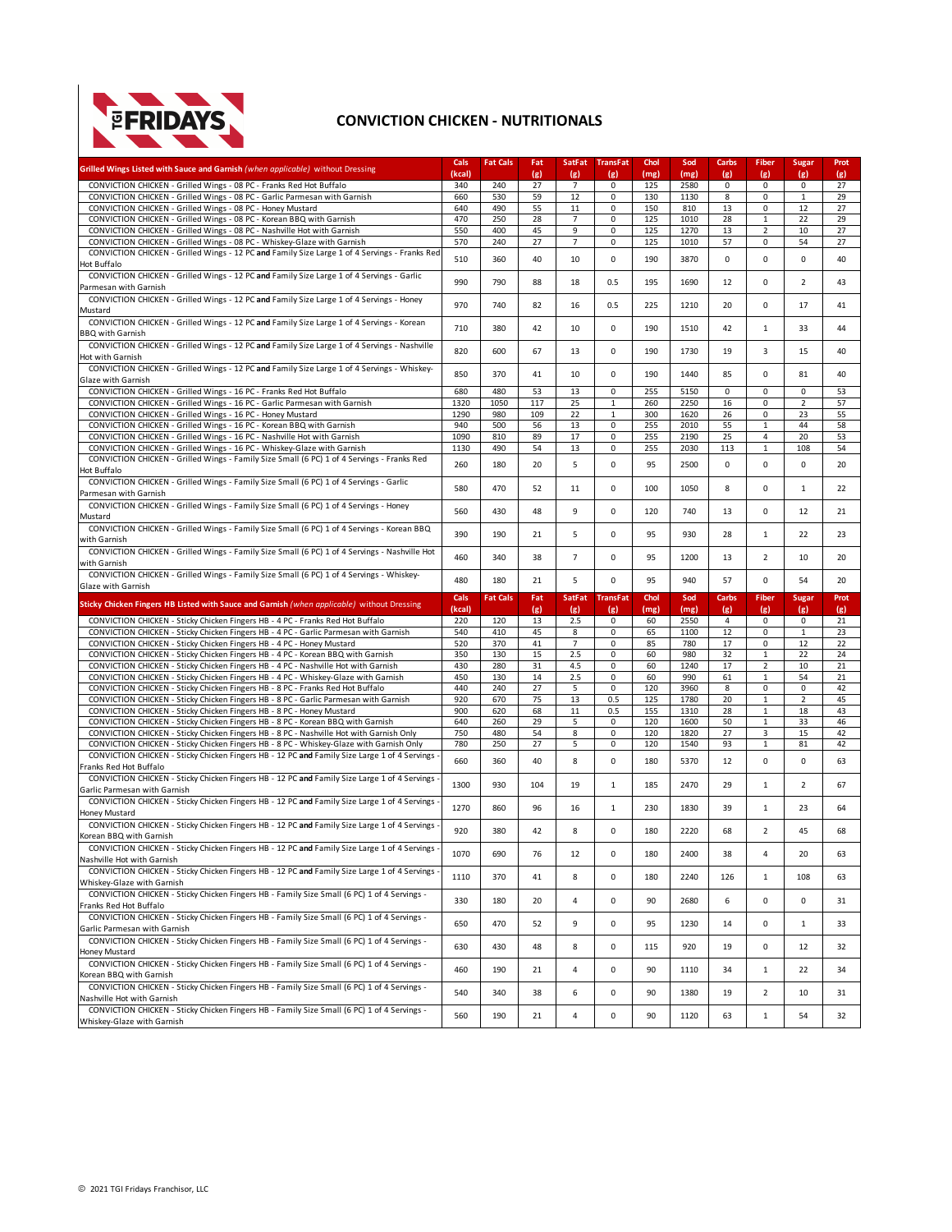

## **CONVICTION CHICKEN - NUTRITIONALS**

| Grilled Wings Listed with Sauce and Garnish (when applicable) without Dressing                                                                                         | Cals<br>(kcal) | <b>Fat Cals</b> | Fat<br>(g) | SatFat<br>(g)        | <b>TransFat</b><br>(g) | Chol<br>(mg) | Sod<br>(mg)  | Carbs<br>(g) | Fiber<br>(g)          | <b>Sugar</b><br>(g) | Prot<br>(g) |
|------------------------------------------------------------------------------------------------------------------------------------------------------------------------|----------------|-----------------|------------|----------------------|------------------------|--------------|--------------|--------------|-----------------------|---------------------|-------------|
| CONVICTION CHICKEN - Grilled Wings - 08 PC - Franks Red Hot Buffalo                                                                                                    | 340            | 240             | 27         | $\overline{7}$       | 0                      | 125          | 2580         | 0            | $\mathsf 0$           | $\mathsf 0$         | 27          |
| CONVICTION CHICKEN - Grilled Wings - 08 PC - Garlic Parmesan with Garnish                                                                                              | 660            | 530             | 59         | 12                   | 0                      | 130          | 1130         | 8            | 0                     | $\mathbf{1}$        | 29          |
| CONVICTION CHICKEN - Grilled Wings - 08 PC - Honey Mustard<br>CONVICTION CHICKEN - Grilled Wings - 08 PC - Korean BBQ with Garnish                                     | 640<br>470     | 490<br>250      | 55<br>28   | 11<br>$\overline{7}$ | 0<br>0                 | 150<br>125   | 810<br>1010  | 13<br>28     | 0<br>$1\,$            | 12<br>22            | 27<br>29    |
| CONVICTION CHICKEN - Grilled Wings - 08 PC - Nashville Hot with Garnish                                                                                                | 550            | 400             | 45         | 9                    | 0                      | 125          | 1270         | 13           | $\overline{2}$        | 10                  | 27          |
| CONVICTION CHICKEN - Grilled Wings - 08 PC - Whiskey-Glaze with Garnish                                                                                                | 570            | 240             | 27         | $\overline{7}$       | 0                      | 125          | 1010         | 57           | 0                     | 54                  | 27          |
| CONVICTION CHICKEN - Grilled Wings - 12 PC and Family Size Large 1 of 4 Servings - Franks Red                                                                          | 510            | 360             | 40         | 10                   | 0                      | 190          | 3870         | 0            | 0                     | $\mathbf 0$         | 40          |
| Hot Buffalo                                                                                                                                                            |                |                 |            |                      |                        |              |              |              |                       |                     |             |
| CONVICTION CHICKEN - Grilled Wings - 12 PC and Family Size Large 1 of 4 Servings - Garlic<br>Parmesan with Garnish                                                     | 990            | 790             | 88         | 18                   | 0.5                    | 195          | 1690         | 12           | 0                     | $\overline{2}$      | 43          |
| CONVICTION CHICKEN - Grilled Wings - 12 PC and Family Size Large 1 of 4 Servings - Honey                                                                               |                |                 |            |                      |                        |              |              |              |                       |                     |             |
| Mustard                                                                                                                                                                | 970            | 740             | 82         | 16                   | 0.5                    | 225          | 1210         | 20           | 0                     | 17                  | 41          |
| CONVICTION CHICKEN - Grilled Wings - 12 PC and Family Size Large 1 of 4 Servings - Korean                                                                              | 710            | 380             | 42         | 10                   | 0                      | 190          | 1510         | 42           | $1\,$                 | 33                  | 44          |
| <b>BBO with Garnish</b>                                                                                                                                                |                |                 |            |                      |                        |              |              |              |                       |                     |             |
| CONVICTION CHICKEN - Grilled Wings - 12 PC and Family Size Large 1 of 4 Servings - Nashville<br>Hot with Garnish                                                       | 820            | 600             | 67         | 13                   | 0                      | 190          | 1730         | 19           | 3                     | 15                  | 40          |
| CONVICTION CHICKEN - Grilled Wings - 12 PC and Family Size Large 1 of 4 Servings - Whiskey-                                                                            |                |                 |            |                      |                        |              |              |              |                       |                     |             |
| Glaze with Garnish                                                                                                                                                     | 850            | 370             | 41         | 10                   | 0                      | 190          | 1440         | 85           | 0                     | 81                  | 40          |
| CONVICTION CHICKEN - Grilled Wings - 16 PC - Franks Red Hot Buffalo                                                                                                    | 680            | 480             | 53         | 13                   | 0                      | 255          | 5150         | 0            | 0                     | $\mathbf 0$         | 53          |
| CONVICTION CHICKEN - Grilled Wings - 16 PC - Garlic Parmesan with Garnish                                                                                              | 1320           | 1050            | 117        | 25                   | $\mathbf 1$            | 260          | 2250         | 16           | 0                     | $\overline{2}$      | 57          |
| CONVICTION CHICKEN - Grilled Wings - 16 PC - Honey Mustard                                                                                                             | 1290           | 980             | 109        | 22                   | $\mathbf 1$            | 300          | 1620         | 26           | 0                     | 23                  | 55          |
| CONVICTION CHICKEN - Grilled Wings - 16 PC - Korean BBQ with Garnish                                                                                                   | 940            | 500             | 56         | 13                   | 0                      | 255          | 2010         | 55           | $1\,$                 | 44                  | 58          |
| CONVICTION CHICKEN - Grilled Wings - 16 PC - Nashville Hot with Garnish<br>CONVICTION CHICKEN - Grilled Wings - 16 PC - Whiskey-Glaze with Garnish                     | 1090<br>1130   | 810<br>490      | 89<br>54   | 17<br>13             | 0<br>0                 | 255<br>255   | 2190<br>2030 | 25<br>113    | 4<br>$\mathbf 1$      | 20<br>108           | 53<br>54    |
| CONVICTION CHICKEN - Grilled Wings - Family Size Small (6 PC) 1 of 4 Servings - Franks Red                                                                             |                |                 |            |                      |                        |              |              |              |                       |                     |             |
| Hot Buffalo                                                                                                                                                            | 260            | 180             | 20         | 5                    | 0                      | 95           | 2500         | 0            | 0                     | $\mathbf 0$         | 20          |
| CONVICTION CHICKEN - Grilled Wings - Family Size Small (6 PC) 1 of 4 Servings - Garlic                                                                                 | 580            | 470             | 52         | 11                   | 0                      | 100          | 1050         | 8            | 0                     | $\mathbf{1}$        | 22          |
| Parmesan with Garnish                                                                                                                                                  |                |                 |            |                      |                        |              |              |              |                       |                     |             |
| CONVICTION CHICKEN - Grilled Wings - Family Size Small (6 PC) 1 of 4 Servings - Honey                                                                                  | 560            | 430             | 48         | 9                    | 0                      | 120          | 740          | 13           | 0                     | 12                  | 21          |
| Mustard<br>CONVICTION CHICKEN - Grilled Wings - Family Size Small (6 PC) 1 of 4 Servings - Korean BBQ                                                                  |                |                 |            |                      |                        |              |              |              |                       |                     |             |
| with Garnish                                                                                                                                                           | 390            | 190             | 21         | 5                    | 0                      | 95           | 930          | 28           | $1\,$                 | 22                  | 23          |
| CONVICTION CHICKEN - Grilled Wings - Family Size Small (6 PC) 1 of 4 Servings - Nashville Hot                                                                          |                |                 |            |                      |                        |              |              |              |                       |                     |             |
| with Garnish                                                                                                                                                           | 460            | 340             | 38         | $\overline{7}$       | 0                      | 95           | 1200         | 13           | $\overline{2}$        | 10                  | 20          |
| CONVICTION CHICKEN - Grilled Wings - Family Size Small (6 PC) 1 of 4 Servings - Whiskey-                                                                               | 480            | 180             | 21         | 5                    | 0                      | 95           | 940          | 57           | 0                     | 54                  | 20          |
|                                                                                                                                                                        |                |                 |            |                      |                        |              |              |              |                       |                     |             |
| Glaze with Garnish                                                                                                                                                     |                |                 |            |                      |                        |              |              |              |                       |                     |             |
| Sticky Chicken Fingers HB Listed with Sauce and Garnish (when applicable) without Dressing                                                                             | Cals           | <b>Fat Cals</b> | Fat        | <b>SatFat</b>        | <b>TransFat</b>        | Chol         | Sod          | Carbs        | <b>Fiber</b>          | <b>Sugar</b>        | Prot        |
|                                                                                                                                                                        | (kcal)         |                 | (g)        | (g)                  | (g)                    | (mg)         | (mg)         | (g)          | (g)                   | (g)                 | (g)         |
| CONVICTION CHICKEN - Sticky Chicken Fingers HB - 4 PC - Franks Red Hot Buffalo<br>CONVICTION CHICKEN - Sticky Chicken Fingers HB - 4 PC - Garlic Parmesan with Garnish | 220<br>540     | 120<br>410      | 13<br>45   | 2.5<br>8             | 0<br>0                 | 60<br>65     | 2550<br>1100 | 4<br>12      | 0<br>0                | 0<br>$\mathbf{1}$   | 21<br>23    |
| CONVICTION CHICKEN - Sticky Chicken Fingers HB - 4 PC - Honey Mustard                                                                                                  | 520            | 370             | 41         | $\overline{7}$       | 0                      | 85           | 780          | 17           | 0                     | 12                  | 22          |
| CONVICTION CHICKEN - Sticky Chicken Fingers HB - 4 PC - Korean BBQ with Garnish                                                                                        | 350            | 130             | 15         | 2.5                  | 0                      | 60           | 980          | 32           | $1\,$                 | 22                  | 24          |
| CONVICTION CHICKEN - Sticky Chicken Fingers HB - 4 PC - Nashville Hot with Garnish                                                                                     | 430            | 280             | 31         | 4.5                  | 0                      | 60           | 1240         | 17           | $\overline{2}$        | 10                  | 21          |
| CONVICTION CHICKEN - Sticky Chicken Fingers HB - 4 PC - Whiskey-Glaze with Garnish                                                                                     | 450            | 130             | 14         | 2.5                  | 0                      | 60           | 990          | 61           | $1\,$                 | 54                  | 21          |
| CONVICTION CHICKEN - Sticky Chicken Fingers HB - 8 PC - Franks Red Hot Buffalo                                                                                         | 440            | 240             | 27         | 5                    | 0                      | 120          | 3960         | 8            | 0                     | $\mathbf 0$         | 42          |
| CONVICTION CHICKEN - Sticky Chicken Fingers HB - 8 PC - Garlic Parmesan with Garnish<br>CONVICTION CHICKEN - Sticky Chicken Fingers HB - 8 PC - Honey Mustard          | 920<br>900     | 670<br>620      | 75<br>68   | 13<br>11             | 0.5<br>0.5             | 125<br>155   | 1780<br>1310 | 20<br>28     | $\mathbf{1}$<br>$1\,$ | $\sqrt{2}$<br>18    | 45<br>43    |
| CONVICTION CHICKEN - Sticky Chicken Fingers HB - 8 PC - Korean BBQ with Garnish                                                                                        | 640            | 260             | 29         | 5                    | 0                      | 120          | 1600         | 50           | $\,1\,$               | 33                  | 46          |
| CONVICTION CHICKEN - Sticky Chicken Fingers HB - 8 PC - Nashville Hot with Garnish Only                                                                                | 750            | 480             | 54         | 8                    | 0                      | 120          | 1820         | 27           | 3                     | 15                  | 42          |
| CONVICTION CHICKEN - Sticky Chicken Fingers HB - 8 PC - Whiskey-Glaze with Garnish Only                                                                                | 780            | 250             | 27         | 5                    | 0                      | 120          | 1540         | 93           | $1\,$                 | 81                  | 42          |
| CONVICTION CHICKEN - Sticky Chicken Fingers HB - 12 PC and Family Size Large 1 of 4 Servings                                                                           | 660            | 360             | 40         | 8                    | 0                      | 180          | 5370         | 12           | $\mathbf 0$           | $\mathbf 0$         | 63          |
| Franks Red Hot Buffalo<br>CONVICTION CHICKEN - Sticky Chicken Fingers HB - 12 PC and Family Size Large 1 of 4 Servings                                                 |                |                 |            |                      |                        |              |              |              |                       |                     |             |
| Garlic Parmesan with Garnish                                                                                                                                           | 1300           | 930             | 104        | 19                   | $\mathbf{1}$           | 185          | 2470         | 29           | $1\,$                 | $\overline{2}$      | 67          |
| CONVICTION CHICKEN - Sticky Chicken Fingers HB - 12 PC and Family Size Large 1 of 4 Servings                                                                           |                |                 |            |                      |                        |              |              |              |                       |                     |             |
| Honey Mustard                                                                                                                                                          | 1270           | 860             | 96         | 16                   | $\mathbf{1}$           | 230          | 1830         | 39           | $1\,$                 | 23                  | 64          |
| CONVICTION CHICKEN - Sticky Chicken Fingers HB - 12 PC and Family Size Large 1 of 4 Servings                                                                           | 920            | 380             | 42         | 8                    | 0                      | 180          | 2220         | 68           | $\overline{2}$        | 45                  | 68          |
| Korean BBQ with Garnish                                                                                                                                                |                |                 |            |                      |                        |              |              |              |                       |                     |             |
| CONVICTION CHICKEN - Sticky Chicken Fingers HB - 12 PC and Family Size Large 1 of 4 Servings                                                                           | 1070           | 690             | 76         | 12                   | 0                      | 180          | 2400         | 38           |                       | 20                  | 63          |
| Nashville Hot with Garnish<br>CONVICTION CHICKEN - Sticky Chicken Fingers HB - 12 PC and Family Size Large 1 of 4 Servings                                             |                |                 |            |                      |                        |              |              |              |                       |                     |             |
| Whiskey-Glaze with Garnish                                                                                                                                             | 1110           | 370             | 41         | 8                    | 0                      | 180          | 2240         | 126          | $\mathbf{1}$          | 108                 | 63          |
| CONVICTION CHICKEN - Sticky Chicken Fingers HB - Family Size Small (6 PC) 1 of 4 Servings -                                                                            |                |                 |            |                      |                        |              |              |              |                       |                     |             |
| Franks Red Hot Buffalo                                                                                                                                                 | 330            | 180             | 20         | 4                    | 0                      | 90           | 2680         | 6            | 0                     | $\mathbf 0$         | 31          |
| CONVICTION CHICKEN - Sticky Chicken Fingers HB - Family Size Small (6 PC) 1 of 4 Servings -                                                                            | 650            | 470             | 52         | 9                    | 0                      | 95           | 1230         | 14           | 0                     | $\mathbf{1}$        | 33          |
| Garlic Parmesan with Garnish                                                                                                                                           |                |                 |            |                      |                        |              |              |              |                       |                     |             |
| CONVICTION CHICKEN - Sticky Chicken Fingers HB - Family Size Small (6 PC) 1 of 4 Servings -<br>Honey Mustard                                                           | 630            | 430             | 48         | 8                    | 0                      | 115          | 920          | 19           | 0                     | 12                  | 32          |
| CONVICTION CHICKEN - Sticky Chicken Fingers HB - Family Size Small (6 PC) 1 of 4 Servings -                                                                            |                |                 |            |                      |                        |              |              |              |                       |                     |             |
| Korean BBQ with Garnish                                                                                                                                                | 460            | 190             | 21         | 4                    | 0                      | 90           | 1110         | 34           | $1\,$                 | 22                  | 34          |
| CONVICTION CHICKEN - Sticky Chicken Fingers HB - Family Size Small (6 PC) 1 of 4 Servings -                                                                            |                |                 |            |                      |                        |              |              |              |                       |                     |             |
| Nashville Hot with Garnish<br>CONVICTION CHICKEN - Sticky Chicken Fingers HB - Family Size Small (6 PC) 1 of 4 Servings -                                              | 540            | 340             | 38         | 6                    | 0                      | 90           | 1380         | 19           | $\overline{2}$        | 10                  | 31          |